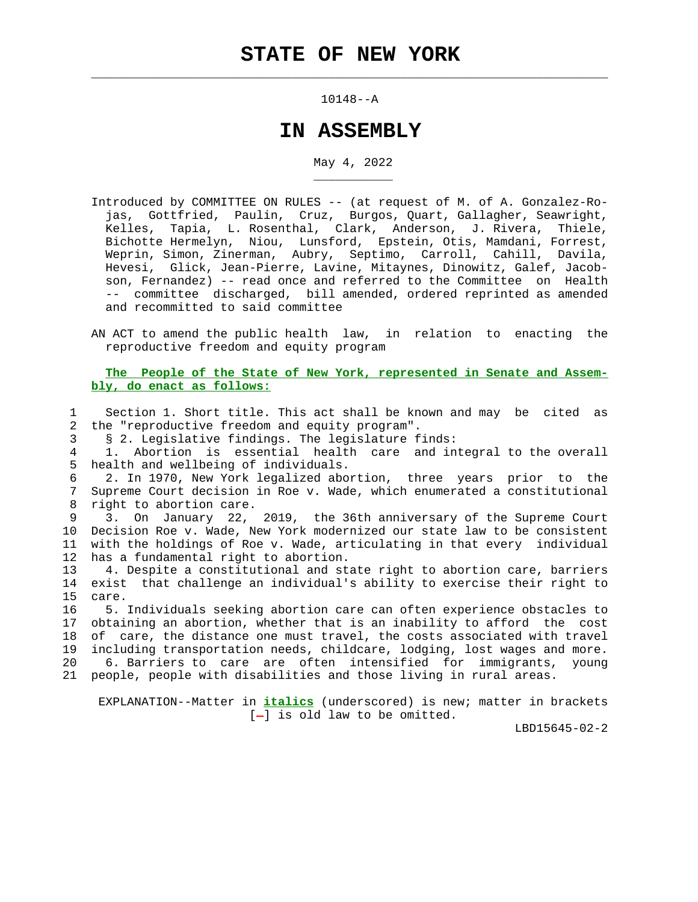$\mathcal{L}_\text{max} = \frac{1}{2} \sum_{i=1}^{n} \frac{1}{2} \sum_{i=1}^{n} \frac{1}{2} \sum_{i=1}^{n} \frac{1}{2} \sum_{i=1}^{n} \frac{1}{2} \sum_{i=1}^{n} \frac{1}{2} \sum_{i=1}^{n} \frac{1}{2} \sum_{i=1}^{n} \frac{1}{2} \sum_{i=1}^{n} \frac{1}{2} \sum_{i=1}^{n} \frac{1}{2} \sum_{i=1}^{n} \frac{1}{2} \sum_{i=1}^{n} \frac{1}{2} \sum_{i=1}^{n} \frac{1$ 

## 10148--A

## **IN ASSEMBLY**

## May 4, 2022

- Introduced by COMMITTEE ON RULES -- (at request of M. of A. Gonzalez-Ro jas, Gottfried, Paulin, Cruz, Burgos, Quart, Gallagher, Seawright, Kelles, Tapia, L. Rosenthal, Clark, Anderson, J. Rivera, Thiele, Bichotte Hermelyn, Niou, Lunsford, Epstein, Otis, Mamdani, Forrest, Weprin, Simon, Zinerman, Aubry, Septimo, Carroll, Cahill, Davila, Hevesi, Glick, Jean-Pierre, Lavine, Mitaynes, Dinowitz, Galef, Jacob son, Fernandez) -- read once and referred to the Committee on Health -- committee discharged, bill amended, ordered reprinted as amended and recommitted to said committee
- AN ACT to amend the public health law, in relation to enacting the reproductive freedom and equity program

## **The People of the State of New York, represented in Senate and Assem bly, do enact as follows:**

 1 Section 1. Short title. This act shall be known and may be cited as 2 the "reproductive freedom and equity program".

3 § 2. Legislative findings. The legislature finds:

\_\_\_\_\_\_\_\_\_\_\_

 4 1. Abortion is essential health care and integral to the overall 5 health and wellbeing of individuals.

 6 2. In 1970, New York legalized abortion, three years prior to the 7 Supreme Court decision in Roe v. Wade, which enumerated a constitutional 8 right to abortion care.

 9 3. On January 22, 2019, the 36th anniversary of the Supreme Court 10 Decision Roe v. Wade, New York modernized our state law to be consistent 11 with the holdings of Roe v. Wade, articulating in that every individual 12 has a fundamental right to abortion.

 13 4. Despite a constitutional and state right to abortion care, barriers 14 exist that challenge an individual's ability to exercise their right to 15 care.

 16 5. Individuals seeking abortion care can often experience obstacles to 17 obtaining an abortion, whether that is an inability to afford the cost 18 of care, the distance one must travel, the costs associated with travel 19 including transportation needs, childcare, lodging, lost wages and more. 20 6. Barriers to care are often intensified for immigrants, young 21 people, people with disabilities and those living in rural areas.

 EXPLANATION--Matter in **italics** (underscored) is new; matter in brackets  $[-]$  is old law to be omitted.

LBD15645-02-2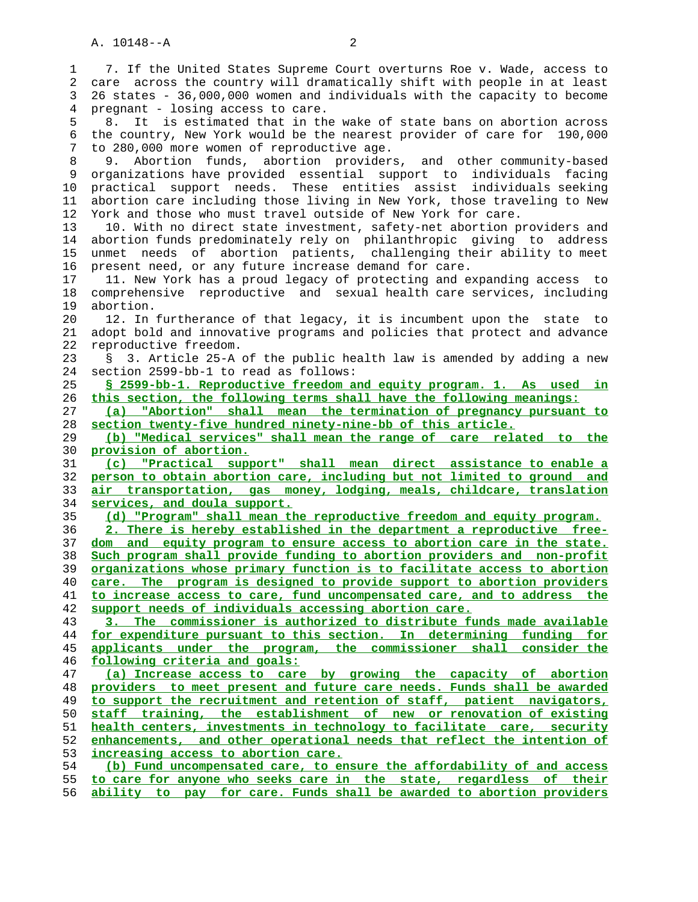1 7. If the United States Supreme Court overturns Roe v. Wade, access to 2 care across the country will dramatically shift with people in at least 3 26 states - 36,000,000 women and individuals with the capacity to become 4 pregnant - losing access to care. 5 8. It is estimated that in the wake of state bans on abortion across 6 the country, New York would be the nearest provider of care for 190,000 7 to 280,000 more women of reproductive age. 8 9. Abortion funds, abortion providers, and other community-based 9 organizations have provided essential support to individuals facing 10 practical support needs. These entities assist individuals seeking 11 abortion care including those living in New York, those traveling to New 12 York and those who must travel outside of New York for care. 13 10. With no direct state investment, safety-net abortion providers and 14 abortion funds predominately rely on philanthropic giving to address 15 unmet needs of abortion patients, challenging their ability to meet 16 present need, or any future increase demand for care. 17 11. New York has a proud legacy of protecting and expanding access to 18 comprehensive reproductive and sexual health care services, including 19 abortion. 20 12. In furtherance of that legacy, it is incumbent upon the state to 21 adopt bold and innovative programs and policies that protect and advance 22 reproductive freedom. 23 § 3. Article 25-A of the public health law is amended by adding a new 24 section 2599-bb-1 to read as follows: 25 **§ 2599-bb-1. Reproductive freedom and equity program. 1. As used in** 26 **this section, the following terms shall have the following meanings:** 27 **(a) "Abortion" shall mean the termination of pregnancy pursuant to** 28 **section twenty-five hundred ninety-nine-bb of this article.** 29 **(b) "Medical services" shall mean the range of care related to the** 30 **provision of abortion.** 31 **(c) "Practical support" shall mean direct assistance to enable a** 32 **person to obtain abortion care, including but not limited to ground and** 33 **air transportation, gas money, lodging, meals, childcare, translation** 34 **services, and doula support.** 35 **(d) "Program" shall mean the reproductive freedom and equity program.** 36 **2. There is hereby established in the department a reproductive free-** 37 **dom and equity program to ensure access to abortion care in the state.** 38 **Such program shall provide funding to abortion providers and non-profit** 39 **organizations whose primary function is to facilitate access to abortion** 40 **care. The program is designed to provide support to abortion providers** 41 **to increase access to care, fund uncompensated care, and to address the** 42 **support needs of individuals accessing abortion care.** 43 **3. The commissioner is authorized to distribute funds made available** 44 **for expenditure pursuant to this section. In determining funding for** 45 **applicants under the program, the commissioner shall consider the** 46 **following criteria and goals:** 47 **(a) Increase access to care by growing the capacity of abortion** 48 **providers to meet present and future care needs. Funds shall be awarded** 49 **to support the recruitment and retention of staff, patient navigators,** 50 **staff training, the establishment of new or renovation of existing** 51 **health centers, investments in technology to facilitate care, security** 52 **enhancements, and other operational needs that reflect the intention of** 53 **increasing access to abortion care.** 54 **(b) Fund uncompensated care, to ensure the affordability of and access** 55 **to care for anyone who seeks care in the state, regardless of their** 56 **ability to pay for care. Funds shall be awarded to abortion providers**